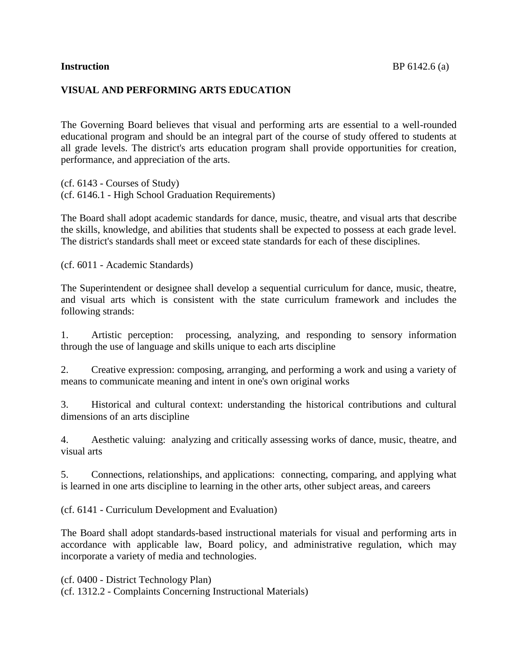## **VISUAL AND PERFORMING ARTS EDUCATION**

The Governing Board believes that visual and performing arts are essential to a well-rounded educational program and should be an integral part of the course of study offered to students at all grade levels. The district's arts education program shall provide opportunities for creation, performance, and appreciation of the arts.

(cf. 6143 - Courses of Study) (cf. 6146.1 - High School Graduation Requirements)

The Board shall adopt academic standards for dance, music, theatre, and visual arts that describe the skills, knowledge, and abilities that students shall be expected to possess at each grade level. The district's standards shall meet or exceed state standards for each of these disciplines.

(cf. 6011 - Academic Standards)

The Superintendent or designee shall develop a sequential curriculum for dance, music, theatre, and visual arts which is consistent with the state curriculum framework and includes the following strands:

1. Artistic perception: processing, analyzing, and responding to sensory information through the use of language and skills unique to each arts discipline

2. Creative expression: composing, arranging, and performing a work and using a variety of means to communicate meaning and intent in one's own original works

3. Historical and cultural context: understanding the historical contributions and cultural dimensions of an arts discipline

4. Aesthetic valuing: analyzing and critically assessing works of dance, music, theatre, and visual arts

5. Connections, relationships, and applications: connecting, comparing, and applying what is learned in one arts discipline to learning in the other arts, other subject areas, and careers

(cf. 6141 - Curriculum Development and Evaluation)

The Board shall adopt standards-based instructional materials for visual and performing arts in accordance with applicable law, Board policy, and administrative regulation, which may incorporate a variety of media and technologies.

(cf. 0400 - District Technology Plan)

(cf. 1312.2 - Complaints Concerning Instructional Materials)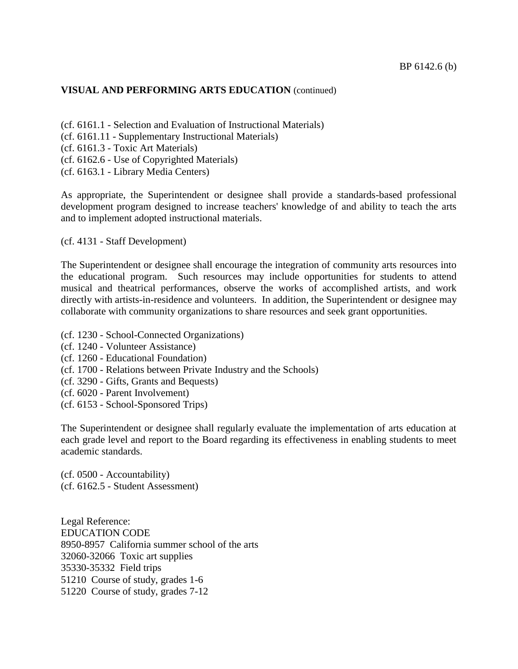## **VISUAL AND PERFORMING ARTS EDUCATION** (continued)

(cf. 6161.1 - Selection and Evaluation of Instructional Materials)

- (cf. 6161.11 Supplementary Instructional Materials)
- (cf. 6161.3 Toxic Art Materials)
- (cf. 6162.6 Use of Copyrighted Materials)
- (cf. 6163.1 Library Media Centers)

As appropriate, the Superintendent or designee shall provide a standards-based professional development program designed to increase teachers' knowledge of and ability to teach the arts and to implement adopted instructional materials.

(cf. 4131 - Staff Development)

The Superintendent or designee shall encourage the integration of community arts resources into the educational program. Such resources may include opportunities for students to attend musical and theatrical performances, observe the works of accomplished artists, and work directly with artists-in-residence and volunteers. In addition, the Superintendent or designee may collaborate with community organizations to share resources and seek grant opportunities.

- (cf. 1230 School-Connected Organizations)
- (cf. 1240 Volunteer Assistance)
- (cf. 1260 Educational Foundation)
- (cf. 1700 Relations between Private Industry and the Schools)
- (cf. 3290 Gifts, Grants and Bequests)
- (cf. 6020 Parent Involvement)
- (cf. 6153 School-Sponsored Trips)

The Superintendent or designee shall regularly evaluate the implementation of arts education at each grade level and report to the Board regarding its effectiveness in enabling students to meet academic standards.

(cf. 0500 - Accountability) (cf. 6162.5 - Student Assessment)

Legal Reference: EDUCATION CODE 8950-8957 California summer school of the arts 32060-32066 Toxic art supplies 35330-35332 Field trips 51210 Course of study, grades 1-6 51220 Course of study, grades 7-12